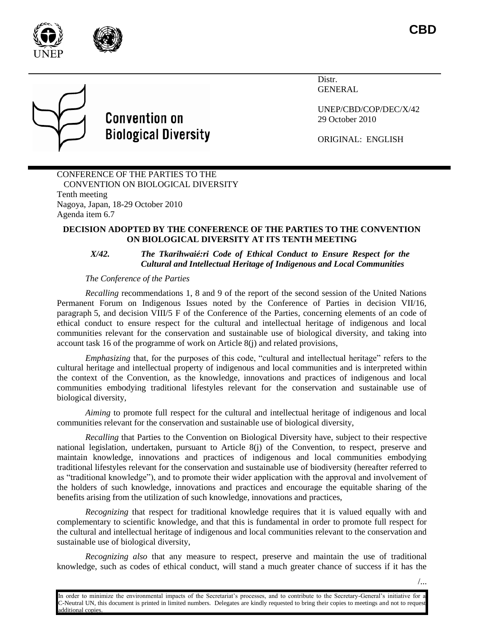



Distr. GENERAL

UNEP/CBD/COP/DEC/X/42 29 October 2010

ORIGINAL: ENGLISH

## CONFERENCE OF THE PARTIES TO THE CONVENTION ON BIOLOGICAL DIVERSITY Tenth meeting Nagoya, Japan, 18-29 October 2010 Agenda item 6.7

**Convention on** 

**Biological Diversity** 

## **DECISION ADOPTED BY THE CONFERENCE OF THE PARTIES TO THE CONVENTION ON BIOLOGICAL DIVERSITY AT ITS TENTH MEETING**

## *X/42. The Tkarihwaié:ri Code of Ethical Conduct to Ensure Respect for the Cultural and Intellectual Heritage of Indigenous and Local Communities*

## *The Conference of the Parties*

*Recalling* recommendations 1, 8 and 9 of the report of the second session of the United Nations Permanent Forum on Indigenous Issues noted by the Conference of Parties in decision VII/16, paragraph 5, and decision VIII/5 F of the Conference of the Parties, concerning elements of an code of ethical conduct to ensure respect for the cultural and intellectual heritage of indigenous and local communities relevant for the conservation and sustainable use of biological diversity, and taking into account task 16 of the programme of work on Article 8(j) and related provisions,

*Emphasizing* that, for the purposes of this code, "cultural and intellectual heritage" refers to the cultural heritage and intellectual property of indigenous and local communities and is interpreted within the context of the Convention, as the knowledge, innovations and practices of indigenous and local communities embodying traditional lifestyles relevant for the conservation and sustainable use of biological diversity,

*Aiming* to promote full respect for the cultural and intellectual heritage of indigenous and local communities relevant for the conservation and sustainable use of biological diversity,

*Recalling* that Parties to the Convention on Biological Diversity have, subject to their respective national legislation, undertaken, pursuant to Article 8(j) of the Convention, to respect, preserve and maintain knowledge, innovations and practices of indigenous and local communities embodying traditional lifestyles relevant for the conservation and sustainable use of biodiversity (hereafter referred to as "traditional knowledge"), and to promote their wider application with the approval and involvement of the holders of such knowledge, innovations and practices and encourage the equitable sharing of the benefits arising from the utilization of such knowledge, innovations and practices,

*Recognizing* that respect for traditional knowledge requires that it is valued equally with and complementary to scientific knowledge, and that this is fundamental in order to promote full respect for the cultural and intellectual heritage of indigenous and local communities relevant to the conservation and sustainable use of biological diversity,

*Recognizing also* that any measure to respect, preserve and maintain the use of traditional knowledge, such as codes of ethical conduct, will stand a much greater chance of success if it has the

In order to minimize the environmental impacts of the Secretariat's processes, and to contribute to the Secretary-General's initiative for a C-Neutral UN, this document is printed in limited numbers. Delegates are kindly requested to bring their copies to meetings and not to request dditional copie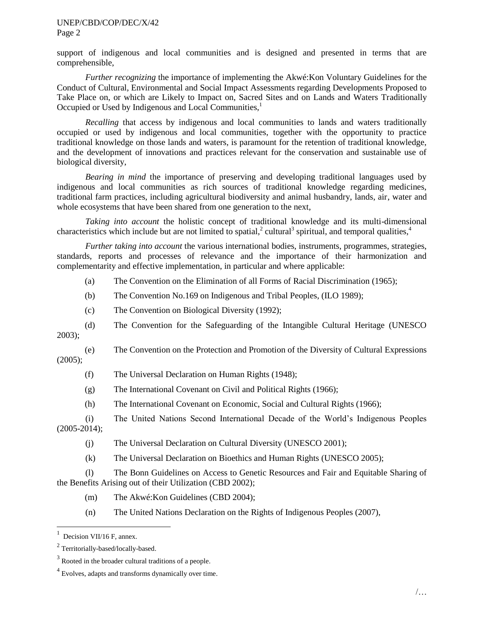#### UNEP/CBD/COP/DEC/X/42 Page 2

support of indigenous and local communities and is designed and presented in terms that are comprehensible,

*Further recognizing* the importance of implementing the Akwé:Kon Voluntary Guidelines for the Conduct of Cultural, Environmental and Social Impact Assessments regarding Developments Proposed to Take Place on, or which are Likely to Impact on, Sacred Sites and on Lands and Waters Traditionally Occupied or Used by Indigenous and Local Communities,<sup>1</sup>

*Recalling* that access by indigenous and local communities to lands and waters traditionally occupied or used by indigenous and local communities, together with the opportunity to practice traditional knowledge on those lands and waters, is paramount for the retention of traditional knowledge, and the development of innovations and practices relevant for the conservation and sustainable use of biological diversity,

*Bearing in mind* the importance of preserving and developing traditional languages used by indigenous and local communities as rich sources of traditional knowledge regarding medicines, traditional farm practices, including agricultural biodiversity and animal husbandry, lands, air, water and whole ecosystems that have been shared from one generation to the next,

*Taking into account* the holistic concept of traditional knowledge and its multi-dimensional characteristics which include but are not limited to spatial,<sup>2</sup> cultural<sup>3</sup> spiritual, and temporal qualities,<sup>4</sup>

*Further taking into account* the various international bodies, instruments, programmes, strategies, standards, reports and processes of relevance and the importance of their harmonization and complementarity and effective implementation, in particular and where applicable:

(a) The Convention on the Elimination of all Forms of Racial Discrimination (1965);

- (b) The Convention No.169 on Indigenous and Tribal Peoples, (ILO 1989);
- (c) The Convention on Biological Diversity (1992);

(d) The Convention for the Safeguarding of the Intangible Cultural Heritage (UNESCO 2003);

(e) The Convention on the Protection and Promotion of the Diversity of Cultural Expressions (2005);

- (f) The Universal Declaration on Human Rights (1948);
- (g) The International Covenant on Civil and Political Rights (1966);
- (h) The International Covenant on Economic, Social and Cultural Rights (1966);
- (i) The United Nations Second International Decade of the World's Indigenous Peoples (2005-2014);
	- (j) The Universal Declaration on Cultural Diversity (UNESCO 2001);
	- (k) The Universal Declaration on Bioethics and Human Rights (UNESCO 2005);

(l) The Bonn Guidelines on Access to Genetic Resources and Fair and Equitable Sharing of the Benefits Arising out of their Utilization (CBD 2002);

- (m) The Akwé:Kon Guidelines (CBD 2004);
- (n) The United Nations Declaration on the Rights of Indigenous Peoples (2007),

l

 $<sup>1</sup>$  Decision VII/16 F, annex.</sup>

<sup>&</sup>lt;sup>2</sup> Territorially-based/locally-based.

 $3$  Rooted in the broader cultural traditions of a people.

 $4$  Evolves, adapts and transforms dynamically over time.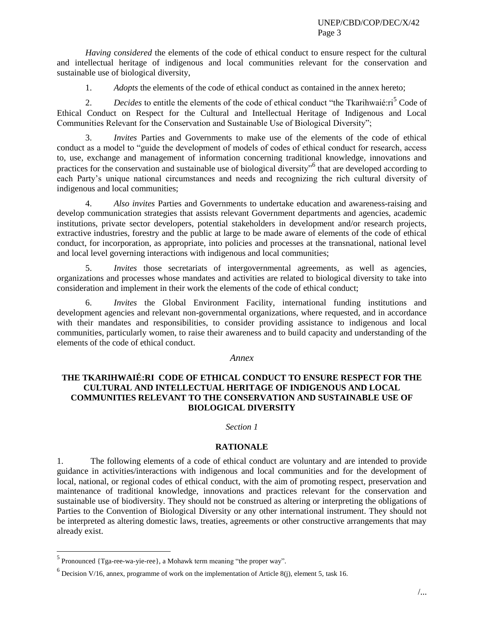*Having* c*onsidered* the elements of the code of ethical conduct to ensure respect for the cultural and intellectual heritage of indigenous and local communities relevant for the conservation and sustainable use of biological diversity,

1. *Adopts* the elements of the code of ethical conduct as contained in the annex hereto;

2. *Decides* to entitle the elements of the code of ethical conduct "the Tkarihwaié:ri<sup>5</sup> Code of Ethical Conduct on Respect for the Cultural and Intellectual Heritage of Indigenous and Local Communities Relevant for the Conservation and Sustainable Use of Biological Diversity";

3. *Invites* Parties and Governments to make use of the elements of the code of ethical conduct as a model to "guide the development of models of codes of ethical conduct for research, access to, use, exchange and management of information concerning traditional knowledge, innovations and practices for the conservation and sustainable use of biological diversity<sup>56</sup> that are developed according to each Party's unique national circumstances and needs and recognizing the rich cultural diversity of indigenous and local communities;

4. *Also invites* Parties and Governments to undertake education and awareness-raising and develop communication strategies that assists relevant Government departments and agencies, academic institutions, private sector developers, potential stakeholders in development and/or research projects, extractive industries, forestry and the public at large to be made aware of elements of the code of ethical conduct, for incorporation, as appropriate, into policies and processes at the transnational, national level and local level governing interactions with indigenous and local communities;

5. *Invites* those secretariats of intergovernmental agreements, as well as agencies, organizations and processes whose mandates and activities are related to biological diversity to take into consideration and implement in their work the elements of the code of ethical conduct;

6. *Invites* the Global Environment Facility, international funding institutions and development agencies and relevant non-governmental organizations, where requested, and in accordance with their mandates and responsibilities, to consider providing assistance to indigenous and local communities, particularly women, to raise their awareness and to build capacity and understanding of the elements of the code of ethical conduct.

### *Annex*

# **THE TKARIHWAIÉ:RI CODE OF ETHICAL CONDUCT TO ENSURE RESPECT FOR THE CULTURAL AND INTELLECTUAL HERITAGE OF INDIGENOUS AND LOCAL COMMUNITIES RELEVANT TO THE CONSERVATION AND SUSTAINABLE USE OF BIOLOGICAL DIVERSITY**

#### *Section 1*

# **RATIONALE**

1. The following elements of a code of ethical conduct are voluntary and are intended to provide guidance in activities/interactions with indigenous and local communities and for the development of local, national, or regional codes of ethical conduct, with the aim of promoting respect, preservation and maintenance of traditional knowledge, innovations and practices relevant for the conservation and sustainable use of biodiversity. They should not be construed as altering or interpreting the obligations of Parties to the Convention of Biological Diversity or any other international instrument. They should not be interpreted as altering domestic laws, treaties, agreements or other constructive arrangements that may already exist.

 $\overline{a}$ 

<sup>&</sup>lt;sup>5</sup> Pronounced {Tga-ree-wa-yie-ree}, a Mohawk term meaning "the proper way".

<sup>&</sup>lt;sup>6</sup> Decision V/16, annex, programme of work on the implementation of Article 8(j), element 5, task 16.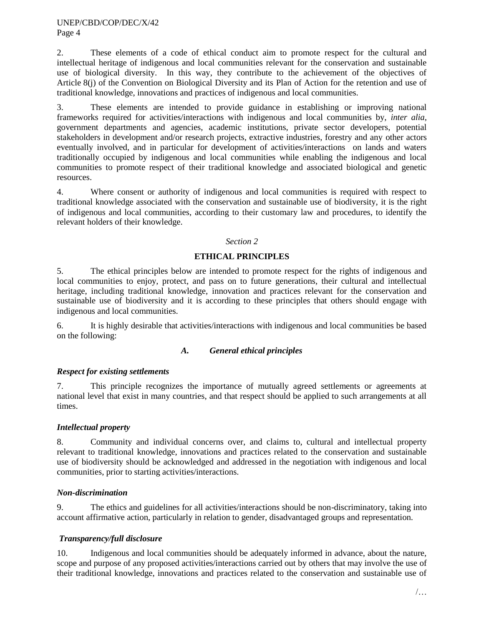2. These elements of a code of ethical conduct aim to promote respect for the cultural and intellectual heritage of indigenous and local communities relevant for the conservation and sustainable use of biological diversity. In this way, they contribute to the achievement of the objectives of Article 8(j) of the Convention on Biological Diversity and its Plan of Action for the retention and use of traditional knowledge, innovations and practices of indigenous and local communities.

3. These elements are intended to provide guidance in establishing or improving national frameworks required for activities/interactions with indigenous and local communities by, *inter alia*, government departments and agencies, academic institutions, private sector developers, potential stakeholders in development and/or research projects, extractive industries, forestry and any other actors eventually involved, and in particular for development of activities/interactions on lands and waters traditionally occupied by indigenous and local communities while enabling the indigenous and local communities to promote respect of their traditional knowledge and associated biological and genetic resources.

4. Where consent or authority of indigenous and local communities is required with respect to traditional knowledge associated with the conservation and sustainable use of biodiversity, it is the right of indigenous and local communities, according to their customary law and procedures, to identify the relevant holders of their knowledge.

## *Section 2*

# **ETHICAL PRINCIPLES**

5. The ethical principles below are intended to promote respect for the rights of indigenous and local communities to enjoy, protect, and pass on to future generations, their cultural and intellectual heritage, including traditional knowledge, innovation and practices relevant for the conservation and sustainable use of biodiversity and it is according to these principles that others should engage with indigenous and local communities.

6. It is highly desirable that activities/interactions with indigenous and local communities be based on the following:

### *A. General ethical principles*

# *Respect for existing settlements*

7. This principle recognizes the importance of mutually agreed settlements or agreements at national level that exist in many countries, and that respect should be applied to such arrangements at all times.

### *Intellectual property*

8. Community and individual concerns over, and claims to, cultural and intellectual property relevant to traditional knowledge, innovations and practices related to the conservation and sustainable use of biodiversity should be acknowledged and addressed in the negotiation with indigenous and local communities, prior to starting activities/interactions.

### *Non-discrimination*

9. The ethics and guidelines for all activities/interactions should be non-discriminatory, taking into account affirmative action, particularly in relation to gender, disadvantaged groups and representation.

# *Transparency/full disclosure*

10. Indigenous and local communities should be adequately informed in advance, about the nature, scope and purpose of any proposed activities/interactions carried out by others that may involve the use of their traditional knowledge, innovations and practices related to the conservation and sustainable use of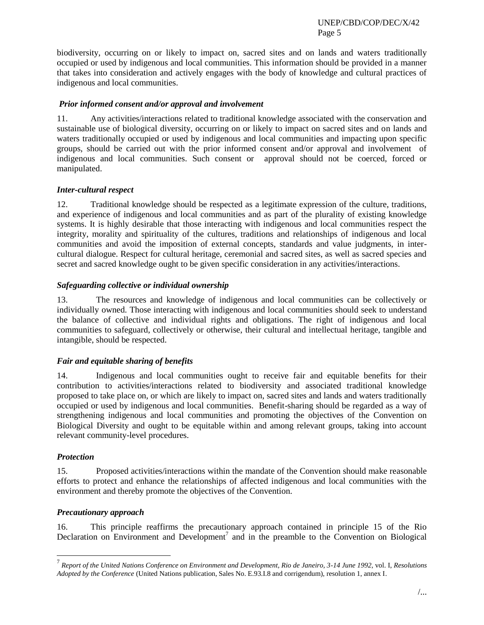biodiversity, occurring on or likely to impact on, sacred sites and on lands and waters traditionally occupied or used by indigenous and local communities. This information should be provided in a manner that takes into consideration and actively engages with the body of knowledge and cultural practices of indigenous and local communities.

## *Prior informed consent and/or approval and involvement*

11. Any activities/interactions related to traditional knowledge associated with the conservation and sustainable use of biological diversity, occurring on or likely to impact on sacred sites and on lands and waters traditionally occupied or used by indigenous and local communities and impacting upon specific groups, should be carried out with the prior informed consent and/or approval and involvement of indigenous and local communities. Such consent or approval should not be coerced, forced or manipulated.

## *Inter-cultural respect*

12. Traditional knowledge should be respected as a legitimate expression of the culture, traditions, and experience of indigenous and local communities and as part of the plurality of existing knowledge systems. It is highly desirable that those interacting with indigenous and local communities respect the integrity, morality and spirituality of the cultures, traditions and relationships of indigenous and local communities and avoid the imposition of external concepts, standards and value judgments, in intercultural dialogue. Respect for cultural heritage, ceremonial and sacred sites, as well as sacred species and secret and sacred knowledge ought to be given specific consideration in any activities/interactions.

## *Safeguarding collective or individual ownership*

13. The resources and knowledge of indigenous and local communities can be collectively or individually owned. Those interacting with indigenous and local communities should seek to understand the balance of collective and individual rights and obligations. The right of indigenous and local communities to safeguard, collectively or otherwise, their cultural and intellectual heritage, tangible and intangible, should be respected.

# *Fair and equitable sharing of benefits*

14. Indigenous and local communities ought to receive fair and equitable benefits for their contribution to activities/interactions related to biodiversity and associated traditional knowledge proposed to take place on, or which are likely to impact on, sacred sites and lands and waters traditionally occupied or used by indigenous and local communities. Benefit-sharing should be regarded as a way of strengthening indigenous and local communities and promoting the objectives of the Convention on Biological Diversity and ought to be equitable within and among relevant groups, taking into account relevant community-level procedures.

### *Protection*

l

15. Proposed activities/interactions within the mandate of the Convention should make reasonable efforts to protect and enhance the relationships of affected indigenous and local communities with the environment and thereby promote the objectives of the Convention.

### *Precautionary approach*

16. This principle reaffirms the precautionary approach contained in principle 15 of the Rio Declaration on Environment and Development<sup>7</sup> and in the preamble to the Convention on Biological

<sup>7</sup> *Report of the United Nations Conference on Environment and Development, Rio de Janeiro, 3-14 June 1992*, vol. I, *Resolutions Adopted by the Conference* (United Nations publication, Sales No. E.93.I.8 and corrigendum), resolution 1, annex I.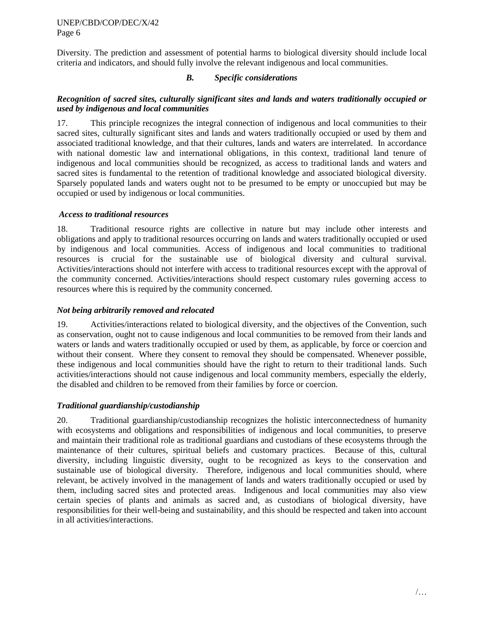Diversity. The prediction and assessment of potential harms to biological diversity should include local criteria and indicators, and should fully involve the relevant indigenous and local communities.

## *B. Specific considerations*

## *Recognition of sacred sites, culturally significant sites and lands and waters traditionally occupied or used by indigenous and local communities*

17. This principle recognizes the integral connection of indigenous and local communities to their sacred sites, culturally significant sites and lands and waters traditionally occupied or used by them and associated traditional knowledge, and that their cultures, lands and waters are interrelated. In accordance with national domestic law and international obligations, in this context, traditional land tenure of indigenous and local communities should be recognized, as access to traditional lands and waters and sacred sites is fundamental to the retention of traditional knowledge and associated biological diversity. Sparsely populated lands and waters ought not to be presumed to be empty or unoccupied but may be occupied or used by indigenous or local communities.

### *Access to traditional resources*

18. Traditional resource rights are collective in nature but may include other interests and obligations and apply to traditional resources occurring on lands and waters traditionally occupied or used by indigenous and local communities. Access of indigenous and local communities to traditional resources is crucial for the sustainable use of biological diversity and cultural survival. Activities/interactions should not interfere with access to traditional resources except with the approval of the community concerned. Activities/interactions should respect customary rules governing access to resources where this is required by the community concerned.

## *Not being arbitrarily removed and relocated*

19. Activities/interactions related to biological diversity, and the objectives of the Convention, such as conservation, ought not to cause indigenous and local communities to be removed from their lands and waters or lands and waters traditionally occupied or used by them, as applicable, by force or coercion and without their consent. Where they consent to removal they should be compensated. Whenever possible, these indigenous and local communities should have the right to return to their traditional lands. Such activities/interactions should not cause indigenous and local community members, especially the elderly, the disabled and children to be removed from their families by force or coercion.

# *Traditional guardianship/custodianship*

20. Traditional guardianship/custodianship recognizes the holistic interconnectedness of humanity with ecosystems and obligations and responsibilities of indigenous and local communities, to preserve and maintain their traditional role as traditional guardians and custodians of these ecosystems through the maintenance of their cultures, spiritual beliefs and customary practices. Because of this, cultural diversity, including linguistic diversity, ought to be recognized as keys to the conservation and sustainable use of biological diversity. Therefore, indigenous and local communities should, where relevant, be actively involved in the management of lands and waters traditionally occupied or used by them, including sacred sites and protected areas. Indigenous and local communities may also view certain species of plants and animals as sacred and, as custodians of biological diversity, have responsibilities for their well-being and sustainability, and this should be respected and taken into account in all activities/interactions.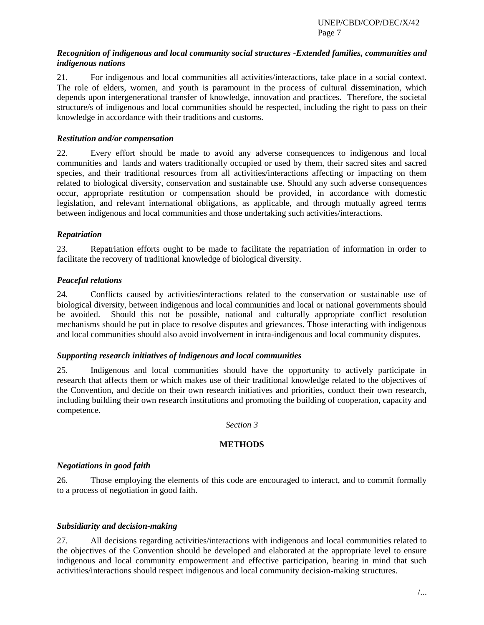UNEP/CBD/COP/DEC/X/42 Page 7

### *Recognition of indigenous and local community social structures -Extended families, communities and indigenous nations*

21. For indigenous and local communities all activities/interactions, take place in a social context. The role of elders, women, and youth is paramount in the process of cultural dissemination, which depends upon intergenerational transfer of knowledge, innovation and practices. Therefore, the societal structure/s of indigenous and local communities should be respected, including the right to pass on their knowledge in accordance with their traditions and customs.

### *Restitution and/or compensation*

22. Every effort should be made to avoid any adverse consequences to indigenous and local communities and lands and waters traditionally occupied or used by them, their sacred sites and sacred species, and their traditional resources from all activities/interactions affecting or impacting on them related to biological diversity, conservation and sustainable use. Should any such adverse consequences occur, appropriate restitution or compensation should be provided, in accordance with domestic legislation, and relevant international obligations, as applicable, and through mutually agreed terms between indigenous and local communities and those undertaking such activities/interactions.

## *Repatriation*

23. Repatriation efforts ought to be made to facilitate the repatriation of information in order to facilitate the recovery of traditional knowledge of biological diversity.

## *Peaceful relations*

24. Conflicts caused by activities/interactions related to the conservation or sustainable use of biological diversity, between indigenous and local communities and local or national governments should be avoided. Should this not be possible, national and culturally appropriate conflict resolution mechanisms should be put in place to resolve disputes and grievances. Those interacting with indigenous and local communities should also avoid involvement in intra-indigenous and local community disputes.

### *Supporting research initiatives of indigenous and local communities*

25. Indigenous and local communities should have the opportunity to actively participate in research that affects them or which makes use of their traditional knowledge related to the objectives of the Convention, and decide on their own research initiatives and priorities, conduct their own research, including building their own research institutions and promoting the building of cooperation, capacity and competence.

### *Section 3*

### **METHODS**

### *Negotiations in good faith*

26. Those employing the elements of this code are encouraged to interact, and to commit formally to a process of negotiation in good faith.

### *Subsidiarity and decision-making*

27. All decisions regarding activities/interactions with indigenous and local communities related to the objectives of the Convention should be developed and elaborated at the appropriate level to ensure indigenous and local community empowerment and effective participation, bearing in mind that such activities/interactions should respect indigenous and local community decision-making structures.